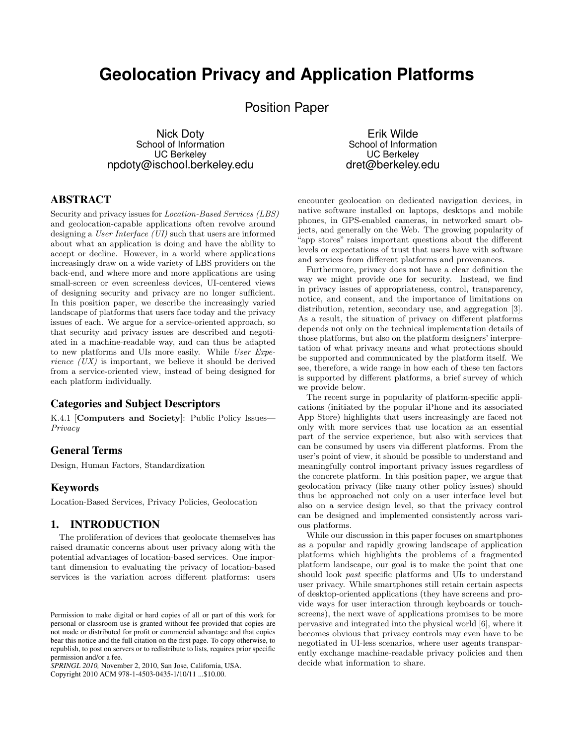# **Geolocation Privacy and Application Platforms**

Position Paper

Nick Doty School of Information UC Berkeley npdoty@ischool.berkeley.edu

Erik Wilde School of Information UC Berkeley dret@berkeley.edu

# ABSTRACT

Security and privacy issues for Location-Based Services (LBS) and geolocation-capable applications often revolve around designing a User Interface (UI) such that users are informed about what an application is doing and have the ability to accept or decline. However, in a world where applications increasingly draw on a wide variety of LBS providers on the back-end, and where more and more applications are using small-screen or even screenless devices, UI-centered views of designing security and privacy are no longer sufficient. In this position paper, we describe the increasingly varied landscape of platforms that users face today and the privacy issues of each. We argue for a service-oriented approach, so that security and privacy issues are described and negotiated in a machine-readable way, and can thus be adapted to new platforms and UIs more easily. While User Expe*rience*  $(UX)$  is important, we believe it should be derived from a service-oriented view, instead of being designed for each platform individually.

## Categories and Subject Descriptors

K.4.1 [Computers and Society]: Public Policy Issues— Privacy

#### General Terms

Design, Human Factors, Standardization

## **Keywords**

Location-Based Services, Privacy Policies, Geolocation

## 1. INTRODUCTION

The proliferation of devices that geolocate themselves has raised dramatic concerns about user privacy along with the potential advantages of location-based services. One important dimension to evaluating the privacy of location-based services is the variation across different platforms: users

*SPRINGL 2010,* November 2, 2010, San Jose, California, USA. Copyright 2010 ACM 978-1-4503-0435-1/10/11 ...\$10.00.

encounter geolocation on dedicated navigation devices, in native software installed on laptops, desktops and mobile phones, in GPS-enabled cameras, in networked smart objects, and generally on the Web. The growing popularity of "app stores" raises important questions about the different levels or expectations of trust that users have with software and services from different platforms and provenances.

Furthermore, privacy does not have a clear definition the way we might provide one for security. Instead, we find in privacy issues of appropriateness, control, transparency, notice, and consent, and the importance of limitations on distribution, retention, secondary use, and aggregation [\[3\]](#page-4-0). As a result, the situation of privacy on different platforms depends not only on the technical implementation details of those platforms, but also on the platform designers' interpretation of what privacy means and what protections should be supported and communicated by the platform itself. We see, therefore, a wide range in how each of these ten factors is supported by different platforms, a brief survey of which we provide below.

The recent surge in popularity of platform-specific applications (initiated by the popular iPhone and its associated App Store) highlights that users increasingly are faced not only with more services that use location as an essential part of the service experience, but also with services that can be consumed by users via different platforms. From the user's point of view, it should be possible to understand and meaningfully control important privacy issues regardless of the concrete platform. In this position paper, we argue that geolocation privacy (like many other policy issues) should thus be approached not only on a user interface level but also on a service design level, so that the privacy control can be designed and implemented consistently across various platforms.

While our discussion in this paper focuses on smartphones as a popular and rapidly growing landscape of application platforms which highlights the problems of a fragmented platform landscape, our goal is to make the point that one should look past specific platforms and UIs to understand user privacy. While smartphones still retain certain aspects of desktop-oriented applications (they have screens and provide ways for user interaction through keyboards or touchscreens), the next wave of applications promises to be more pervasive and integrated into the physical world [\[6\]](#page-4-0), where it becomes obvious that privacy controls may even have to be negotiated in UI-less scenarios, where user agents transparently exchange machine-readable privacy policies and then decide what information to share.

Permission to make digital or hard copies of all or part of this work for personal or classroom use is granted without fee provided that copies are not made or distributed for profit or commercial advantage and that copies bear this notice and the full citation on the first page. To copy otherwise, to republish, to post on servers or to redistribute to lists, requires prior specific permission and/or a fee.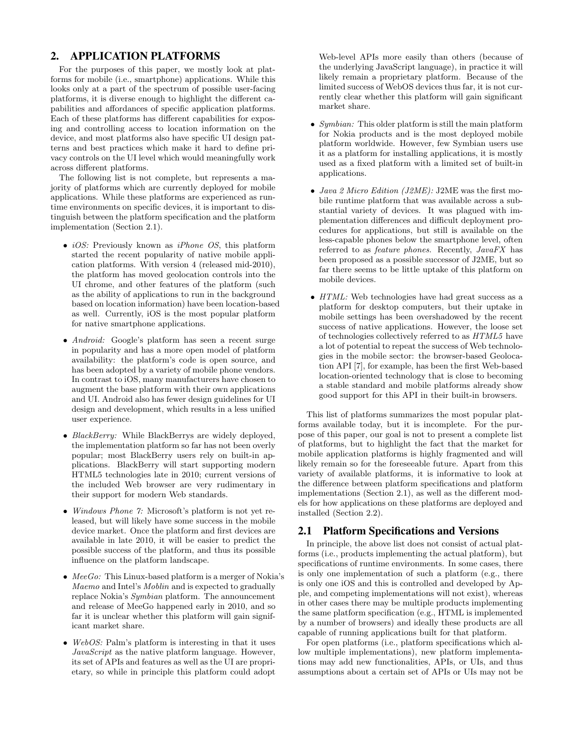# 2. APPLICATION PLATFORMS

For the purposes of this paper, we mostly look at platforms for mobile (i.e., smartphone) applications. While this looks only at a part of the spectrum of possible user-facing platforms, it is diverse enough to highlight the different capabilities and affordances of specific application platforms. Each of these platforms has different capabilities for exposing and controlling access to location information on the device, and most platforms also have specific UI design patterns and best practices which make it hard to define privacy controls on the UI level which would meaningfully work across different platforms.

The following list is not complete, but represents a majority of platforms which are currently deployed for mobile applications. While these platforms are experienced as runtime environments on specific devices, it is important to distinguish between the platform specification and the platform implementation (Section 2.1).

- *iOS*: Previously known as *iPhone OS*, this platform started the recent popularity of native mobile application platforms. With version 4 (released mid-2010), the platform has moved geolocation controls into the UI chrome, and other features of the platform (such as the ability of applications to run in the background based on location information) have been location-based as well. Currently, iOS is the most popular platform for native smartphone applications.
- *Android:* Google's platform has seen a recent surge in popularity and has a more open model of platform availability: the platform's code is open source, and has been adopted by a variety of mobile phone vendors. In contrast to iOS, many manufacturers have chosen to augment the base platform with their own applications and UI. Android also has fewer design guidelines for UI design and development, which results in a less unified user experience.
- BlackBerry: While BlackBerrys are widely deployed, the implementation platform so far has not been overly popular; most BlackBerry users rely on built-in applications. BlackBerry will start supporting modern HTML5 technologies late in 2010; current versions of the included Web browser are very rudimentary in their support for modern Web standards.
- Windows Phone 7: Microsoft's platform is not yet released, but will likely have some success in the mobile device market. Once the platform and first devices are available in late 2010, it will be easier to predict the possible success of the platform, and thus its possible influence on the platform landscape.
- $MeeGo$ : This Linux-based platform is a merger of Nokia's Maemo and Intel's Moblin and is expected to gradually replace Nokia's Symbian platform. The announcement and release of MeeGo happened early in 2010, and so far it is unclear whether this platform will gain significant market share.
- WebOS: Palm's platform is interesting in that it uses JavaScript as the native platform language. However, its set of APIs and features as well as the UI are proprietary, so while in principle this platform could adopt

Web-level APIs more easily than others (because of the underlying JavaScript language), in practice it will likely remain a proprietary platform. Because of the limited success of WebOS devices thus far, it is not currently clear whether this platform will gain significant market share.

- Symbian: This older platform is still the main platform for Nokia products and is the most deployed mobile platform worldwide. However, few Symbian users use it as a platform for installing applications, it is mostly used as a fixed platform with a limited set of built-in applications.
- Java 2 Micro Edition (J2ME): J2ME was the first mobile runtime platform that was available across a substantial variety of devices. It was plagued with implementation differences and difficult deployment procedures for applications, but still is available on the less-capable phones below the smartphone level, often referred to as feature phones. Recently, JavaFX has been proposed as a possible successor of J2ME, but so far there seems to be little uptake of this platform on mobile devices.
- HTML: Web technologies have had great success as a platform for desktop computers, but their uptake in mobile settings has been overshadowed by the recent success of native applications. However, the loose set of technologies collectively referred to as HTML5 have a lot of potential to repeat the success of Web technologies in the mobile sector: the browser-based Geolocation API [\[7\]](#page-4-0), for example, has been the first Web-based location-oriented technology that is close to becoming a stable standard and mobile platforms already show good support for this API in their built-in browsers.

This list of platforms summarizes the most popular platforms available today, but it is incomplete. For the purpose of this paper, our goal is not to present a complete list of platforms, but to highlight the fact that the market for mobile application platforms is highly fragmented and will likely remain so for the foreseeable future. Apart from this variety of available platforms, it is informative to look at the difference between platform specifications and platform implementations (Section 2.1), as well as the different models for how applications on these platforms are deployed and installed (Section [2.2\)](#page-2-0).

#### 2.1 Platform Specifications and Versions

In principle, the above list does not consist of actual platforms (i.e., products implementing the actual platform), but specifications of runtime environments. In some cases, there is only one implementation of such a platform (e.g., there is only one iOS and this is controlled and developed by Apple, and competing implementations will not exist), whereas in other cases there may be multiple products implementing the same platform specification (e.g., HTML is implemented by a number of browsers) and ideally these products are all capable of running applications built for that platform.

For open platforms (i.e., platform specifications which allow multiple implementations), new platform implementations may add new functionalities, APIs, or UIs, and thus assumptions about a certain set of APIs or UIs may not be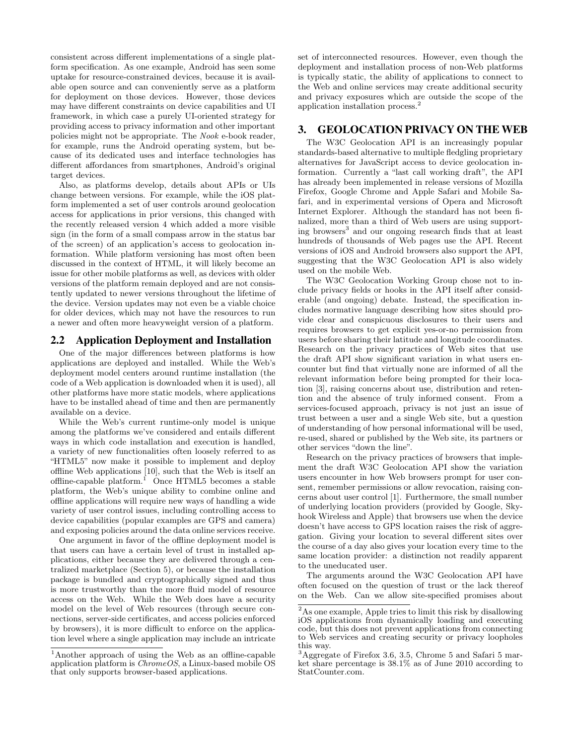<span id="page-2-0"></span>consistent across different implementations of a single platform specification. As one example, Android has seen some uptake for resource-constrained devices, because it is available open source and can conveniently serve as a platform for deployment on those devices. However, those devices may have different constraints on device capabilities and UI framework, in which case a purely UI-oriented strategy for providing access to privacy information and other important policies might not be appropriate. The Nook e-book reader, for example, runs the Android operating system, but because of its dedicated uses and interface technologies has different affordances from smartphones, Android's original target devices.

Also, as platforms develop, details about APIs or UIs change between versions. For example, while the iOS platform implemented a set of user controls around geolocation access for applications in prior versions, this changed with the recently released version 4 which added a more visible sign (in the form of a small compass arrow in the status bar of the screen) of an application's access to geolocation information. While platform versioning has most often been discussed in the context of HTML, it will likely become an issue for other mobile platforms as well, as devices with older versions of the platform remain deployed and are not consistently updated to newer versions throughout the lifetime of the device. Version updates may not even be a viable choice for older devices, which may not have the resources to run a newer and often more heavyweight version of a platform.

#### 2.2 Application Deployment and Installation

One of the major differences between platforms is how applications are deployed and installed. While the Web's deployment model centers around runtime installation (the code of a Web application is downloaded when it is used), all other platforms have more static models, where applications have to be installed ahead of time and then are permanently available on a device.

While the Web's current runtime-only model is unique among the platforms we've considered and entails different ways in which code installation and execution is handled, a variety of new functionalities often loosely referred to as "HTML5" now make it possible to implement and deploy offline Web applications [\[10\]](#page-4-0), such that the Web is itself an offline-capable platform.<sup>1</sup> Once HTML5 becomes a stable platform, the Web's unique ability to combine online and offline applications will require new ways of handling a wide variety of user control issues, including controlling access to device capabilities (popular examples are GPS and camera) and exposing policies around the data online services receive.

One argument in favor of the offline deployment model is that users can have a certain level of trust in installed applications, either because they are delivered through a centralized marketplace (Section [5\)](#page-3-0), or because the installation package is bundled and cryptographically signed and thus is more trustworthy than the more fluid model of resource access on the Web. While the Web does have a security model on the level of Web resources (through secure connections, server-side certificates, and access policies enforced by browsers), it is more difficult to enforce on the application level where a single application may include an intricate set of interconnected resources. However, even though the deployment and installation process of non-Web platforms is typically static, the ability of applications to connect to the Web and online services may create additional security and privacy exposures which are outside the scope of the application installation process.<sup>2</sup>

#### 3. GEOLOCATION PRIVACY ON THE WEB

The W3C Geolocation API is an increasingly popular standards-based alternative to multiple fledgling proprietary alternatives for JavaScript access to device geolocation information. Currently a "last call working draft", the API has already been implemented in release versions of Mozilla Firefox, Google Chrome and Apple Safari and Mobile Safari, and in experimental versions of Opera and Microsoft Internet Explorer. Although the standard has not been finalized, more than a third of Web users are using supporting browsers<sup>3</sup> and our ongoing research finds that at least hundreds of thousands of Web pages use the API. Recent versions of iOS and Android browsers also support the API, suggesting that the W3C Geolocation API is also widely used on the mobile Web.

The W3C Geolocation Working Group chose not to include privacy fields or hooks in the API itself after considerable (and ongoing) debate. Instead, the specification includes normative language describing how sites should provide clear and conspicuous disclosures to their users and requires browsers to get explicit yes-or-no permission from users before sharing their latitude and longitude coordinates. Research on the privacy practices of Web sites that use the draft API show significant variation in what users encounter but find that virtually none are informed of all the relevant information before being prompted for their location [\[3\]](#page-4-0), raising concerns about use, distribution and retention and the absence of truly informed consent. From a services-focused approach, privacy is not just an issue of trust between a user and a single Web site, but a question of understanding of how personal informational will be used, re-used, shared or published by the Web site, its partners or other services "down the line".

Research on the privacy practices of browsers that implement the draft W3C Geolocation API show the variation users encounter in how Web browsers prompt for user consent, remember permissions or allow revocation, raising concerns about user control [\[1\]](#page-4-0). Furthermore, the small number of underlying location providers (provided by Google, Skyhook Wireless and Apple) that browsers use when the device doesn't have access to GPS location raises the risk of aggregation. Giving your location to several different sites over the course of a day also gives your location every time to the same location provider: a distinction not readily apparent to the uneducated user.

The arguments around the W3C Geolocation API have often focused on the question of trust or the lack thereof on the Web. Can we allow site-specified promises about

<sup>1</sup>Another approach of using the Web as an offline-capable application platform is  $ChromeOS$ , a Linux-based mobile OS that only supports browser-based applications.

<sup>2</sup>As one example, Apple tries to limit this risk by disallowing iOS applications from dynamically loading and executing code, but this does not prevent applications from connecting to Web services and creating security or privacy loopholes this way.

<sup>3</sup>Aggregate of Firefox 3.6, 3.5, Chrome 5 and Safari 5 market share percentage is 38.1% as of June 2010 according to StatCounter.com.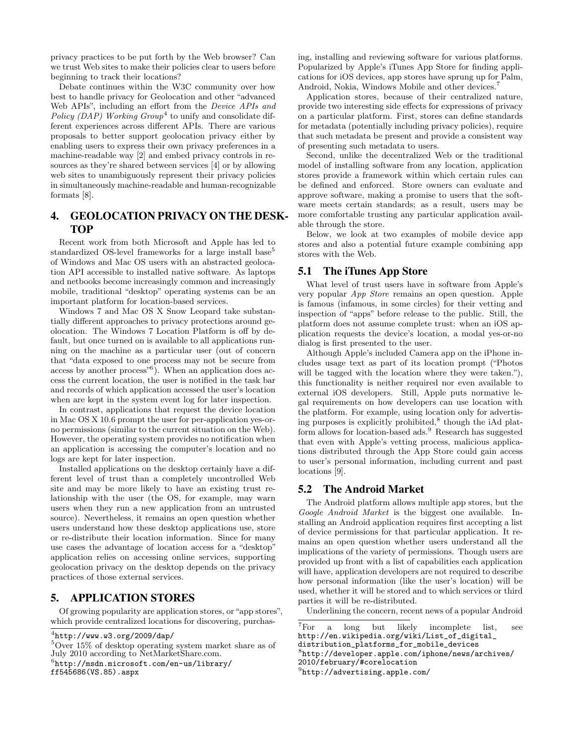<span id="page-3-0"></span>privacy practices to be put forth by the Web browser? Can we trust Web sites to make their policies clear to users before beginning to track their locations?

Debate continues within the W3C community over how best to handle privacy for Geolocation and other "advanced Web APIs", including an effort from the Device APIs and Policy (DAP) Working  $Group^4$  to unify and consolidate different experiences across different APIs. There are various proposals to better support geolocation privacy either by enabling users to express their own privacy preferences in a machine-readable way [\[2\]](#page-4-0) and embed privacy controls in resources as they're shared between services [\[4\]](#page-4-0) or by allowing web sites to unambiguously represent their privacy policies in simultaneously machine-readable and human-recognizable formats [\[8\]](#page-4-0).

# 4. GEOLOCATION PRIVACY ON THE DESK-TOP

Recent work from both Microsoft and Apple has led to standardized OS-level frameworks for a large install base<sup>5</sup> of Windows and Mac OS users with an abstracted geolocation API accessible to installed native software. As laptops and netbooks become increasingly common and increasingly mobile, traditional "desktop" operating systems can be an important platform for location-based services.

Windows 7 and Mac OS X Snow Leopard take substantially different approaches to privacy protections around geolocation. The Windows 7 Location Platform is off by default, but once turned on is available to all applications running on the machine as a particular user (out of concern that "data exposed to one process may not be secure from access by another process<sup>"6</sup>). When an application does access the current location, the user is notified in the task bar and records of which application accessed the user's location when are kept in the system event log for later inspection.

In contrast, applications that request the device location in Mac OS X 10.6 prompt the user for per-application yes-orno permissions (similar to the current situation on the Web). However, the operating system provides no notification when an application is accessing the computer's location and no logs are kept for later inspection.

Installed applications on the desktop certainly have a different level of trust than a completely uncontrolled Web site and may be more likely to have an existing trust relationship with the user (the OS, for example, may warn users when they run a new application from an untrusted source). Nevertheless, it remains an open question whether users understand how these desktop applications use, store or re-distribute their location information. Since for many use cases the advantage of location access for a "desktop" application relies on accessing online services, supporting geolocation privacy on the desktop depends on the privacy practices of those external services.

## 5. APPLICATION STORES

Of growing popularity are application stores, or "app stores", which provide centralized locations for discovering, purchasing, installing and reviewing software for various platforms. Popularized by Apple's iTunes App Store for finding applications for iOS devices, app stores have sprung up for Palm, Android, Nokia, Windows Mobile and other devices.<sup>7</sup>

Application stores, because of their centralized nature, provide two interesting side effects for expressions of privacy on a particular platform. First, stores can define standards for metadata (potentially including privacy policies), require that such metadata be present and provide a consistent way of presenting such metadata to users.

Second, unlike the decentralized Web or the traditional model of installing software from any location, application stores provide a framework within which certain rules can be defined and enforced. Store owners can evaluate and approve software, making a promise to users that the software meets certain standards; as a result, users may be more comfortable trusting any particular application available through the store.

Below, we look at two examples of mobile device app stores and also a potential future example combining app stores with the Web.

#### 5.1 The iTunes App Store

What level of trust users have in software from Apple's very popular App Store remains an open question. Apple is famous (infamous, in some circles) for their vetting and inspection of "apps" before release to the public. Still, the platform does not assume complete trust: when an iOS application requests the device's location, a modal yes-or-no dialog is first presented to the user.

Although Apple's included Camera app on the iPhone includes usage text as part of its location prompt ("Photos will be tagged with the location where they were taken."), this functionality is neither required nor even available to external iOS developers. Still, Apple puts normative legal requirements on how developers can use location with the platform. For example, using location only for advertising purposes is explicitly prohibited,<sup>8</sup> though the iAd platform allows for location-based ads.<sup>9</sup> Research has suggested that even with Apple's vetting process, malicious applications distributed through the App Store could gain access to user's personal information, including current and past locations [\[9\]](#page-4-0).

#### 5.2 The Android Market

The Android platform allows multiple app stores, but the Google Android Market is the biggest one available. Installing an Android application requires first accepting a list of device permissions for that particular application. It remains an open question whether users understand all the implications of the variety of permissions. Though users are provided up front with a list of capabilities each application will have, application developers are not required to describe how personal information (like the user's location) will be used, whether it will be stored and to which services or third parties it will be re-distributed.

Underlining the concern, recent news of a popular Android

```
<sup>7</sup>For a long but likely incomplete list, see
http://en.wikipedia.org/wiki/List_of_digital_
distribution_platforms_for_mobile_devices
8
http://developer.apple.com/iphone/news/archives/
2010/february/#corelocation
^{9}http://advertising.apple.com/
```
 $4$ <http://www.w3.org/2009/dap/>

<sup>5</sup>Over 15% of desktop operating system market share as of July 2010 according to NetMarketShare.com.  $<sup>6</sup>$ [http://msdn.microsoft.com/en-us/library/](http://msdn.microsoft.com/en-us/library/ff545686(VS.85).aspx)</sup> [ff545686\(VS.85\).aspx](http://msdn.microsoft.com/en-us/library/ff545686(VS.85).aspx)